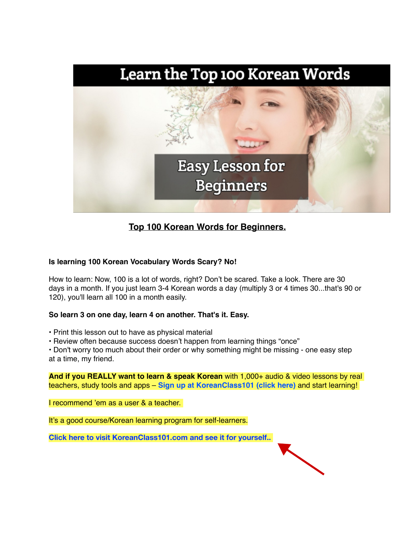

## **Top 100 Korean Words for Beginners.**

## **Is learning 100 Korean Vocabulary Words Scary? No!**

How to learn: Now, 100 is a lot of words, right? Don't be scared. Take a look. There are 30 days in a month. If you just learn 3-4 Korean words a day (multiply 3 or 4 times 30...that's 90 or 120), you'll learn all 100 in a month easily.

## **So learn 3 on one day, learn 4 on another. That's it. Easy.**

• Print this lesson out to have as physical material

• Review often because success doesn't happen from learning things "once"

• Don't worry too much about their order or why something might be missing - one easy step at a time, my friend.

**And if you REALLY want to learn & speak Korean** with 1,000+ audio & video lessons by real teachers, study tools and apps – **Sign up at KoreanClass101 (click here)** and start learning!

I recommend 'em as a user & a teacher.

It's a good course/Korean learning program for self-learners.

**[Click here to visit KoreanClass101.com and see it for yourself..](https://www.koreanclass101.com/member/go.php?r=327919&i=b15)** 

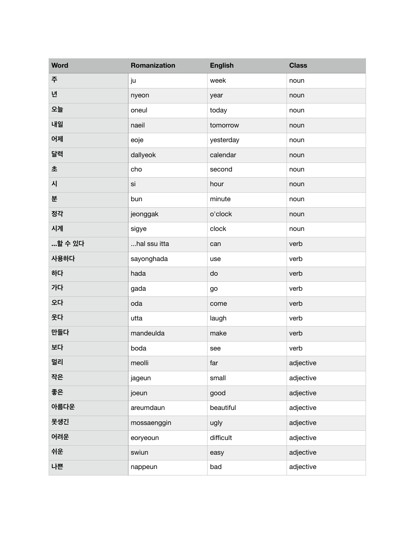| <b>Word</b> | Romanization | <b>English</b> | <b>Class</b> |
|-------------|--------------|----------------|--------------|
| 주           | ju           | week           | noun         |
| 녠           | nyeon        | year           | noun         |
| 오늘          | oneul        | today          | noun         |
| 내일          | naeil        | tomorrow       | noun         |
| 어제          | eoje         | yesterday      | noun         |
| 달력          | dallyeok     | calendar       | noun         |
| 초           | cho          | second         | noun         |
| 시           | si           | hour           | noun         |
| 분           | bun          | minute         | noun         |
| 정각          | jeonggak     | o'clock        | noun         |
| 시계          | sigye        | clock          | noun         |
| 할 수 있다      | hal ssu itta | can            | verb         |
| 사용하다        | sayonghada   | use            | verb         |
| 하다          | hada         | do             | verb         |
| 가다          | gada         | go             | verb         |
| 오다          | oda          | come           | verb         |
| 웃다          | utta         | laugh          | verb         |
| 만들다         | mandeulda    | make           | verb         |
| 보다          | boda         | see            | verb         |
| 멀리          | meolli       | far            | adjective    |
| 작은          | jageun       | small          | adjective    |
| 좋은          | joeun        | good           | adjective    |
| 아름다운        | areumdaun    | beautiful      | adjective    |
| 못생긴         | mossaenggin  | ugly           | adjective    |
| 어려운         | eoryeoun     | difficult      | adjective    |
| 쉬운          | swiun        | easy           | adjective    |
| 나쁜          | nappeun      | bad            | adjective    |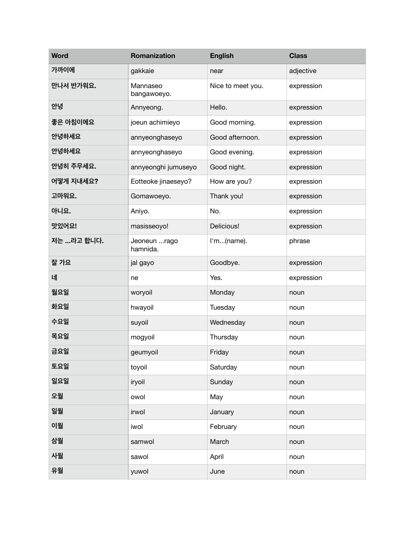| <b>Word</b> | Romanization             | <b>English</b>    | <b>Class</b> |
|-------------|--------------------------|-------------------|--------------|
| 가까이에        | gakkaie                  | near              | adjective    |
| 만나서 반가워요.   | Mannaseo<br>bangawoeyo.  | Nice to meet you. | expression   |
| 안녕          | Annyeong.                | Hello.            | expression   |
| 좋은 아침이에요    | joeun achimieyo          | Good morning.     | expression   |
| 안녕하세요       | annyeonghaseyo           | Good afternoon.   | expression   |
| 안녕하세요       | annyeonghaseyo           | Good evening.     | expression   |
| 안녕히 주무세요.   | annyeonghi jumuseyo      | Good night.       | expression   |
| 어떻게 지내세요?   | Eotteoke jinaeseyo?      | How are you?      | expression   |
| 고마워요.       | Gomawoeyo.               | Thank you!        | expression   |
| 아니요.        | Aniyo.                   | No.               | expression   |
| 맛있어요!       | masisseoyo!              | Delicious!        | expression   |
| 저는 라고 합니다.  | Jeoneun rago<br>hamnida. | I'm(name).        | phrase       |
| 잘 가요        | jal gayo                 | Goodbye.          | expression   |
| 네           | ne                       | Yes.              | expression   |
| 월요일         | woryoil                  | Monday            | noun         |
| 화요일         | hwayoil                  | Tuesday           | noun         |
| 수요일         | suyoil                   | Wednesday         | noun         |
| 목요일         | mogyoil                  | Thursday          | noun         |
| 금요일         | geumyoil                 | Friday            | noun         |
| 토요일         | toyoil                   | Saturday          | noun         |
| 일요일         | iryoil                   | Sunday            | noun         |
| 오월          | owol                     | May               | noun         |
| 일월          | irwol                    | January           | noun         |
| 이월          | iwol                     | February          | noun         |
| 삼월          | samwol                   | March             | noun         |
| 사월          | sawol                    | April             | noun         |
| 유월          | yuwol                    | June              | noun         |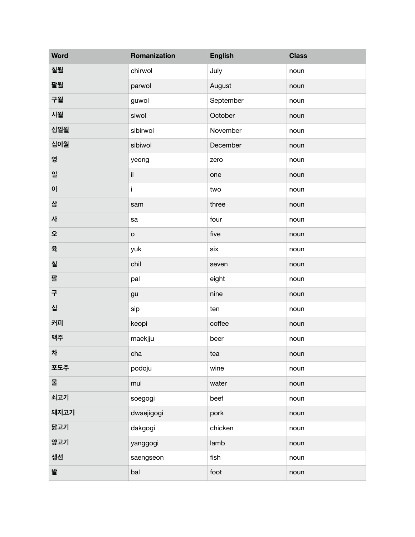| <b>Word</b> | Romanization | <b>English</b> | <b>Class</b> |
|-------------|--------------|----------------|--------------|
| 칠월          | chirwol      | July           | noun         |
| 팔월          | parwol       | August         | noun         |
| 구월          | guwol        | September      | noun         |
| 시월          | siwol        | October        | noun         |
| 십일월         | sibirwol     | November       | noun         |
| 십이월         | sibiwol      | December       | noun         |
| 영           | yeong        | zero           | noun         |
| 일           | il.          | one            | noun         |
| 0           | i            | two            | noun         |
| 삼           | sam          | three          | noun         |
| 사           | sa           | four           | noun         |
| 오           | $\mathsf{o}$ | five           | noun         |
| 육           | yuk          | six            | noun         |
| 칠           | chil         | seven          | noun         |
| 팔           | pal          | eight          | noun         |
| 구           | gu           | nine           | noun         |
| 십           | sip          | ten            | noun         |
| 커피          | keopi        | coffee         | noun         |
| 맥주          | maekjju      | beer           | noun         |
| 차           | cha          | tea            | noun         |
| 포도주         | podoju       | wine           | noun         |
| 물           | mul          | water          | noun         |
| 쇠고기         | soegogi      | beef           | noun         |
| 돼지고기        | dwaejigogi   | pork           | noun         |
| 닭고기         | dakgogi      | chicken        | noun         |
| 양고기         | yanggogi     | lamb           | noun         |
| 생선          | saengseon    | fish           | noun         |
| 발           | bal          | foot           | noun         |